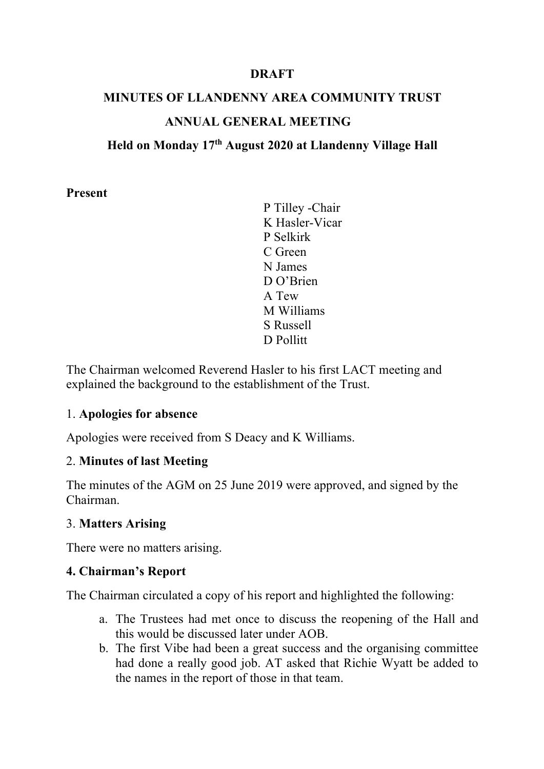### **DRAFT**

# **MINUTES OF LLANDENNY AREA COMMUNITY TRUST ANNUAL GENERAL MEETING**

### **Held on Monday 17th August 2020 at Llandenny Village Hall**

#### **Present**

P Tilley -Chair K Hasler-Vicar P Selkirk C Green N James D O'Brien A Tew M Williams S Russell D Pollitt

The Chairman welcomed Reverend Hasler to his first LACT meeting and explained the background to the establishment of the Trust.

#### 1. **Apologies for absence**

Apologies were received from S Deacy and K Williams.

#### 2. **Minutes of last Meeting**

The minutes of the AGM on 25 June 2019 were approved, and signed by the Chairman.

#### 3. **Matters Arising**

There were no matters arising.

#### **4. Chairman's Report**

The Chairman circulated a copy of his report and highlighted the following:

- a. The Trustees had met once to discuss the reopening of the Hall and this would be discussed later under AOB.
- b. The first Vibe had been a great success and the organising committee had done a really good job. AT asked that Richie Wyatt be added to the names in the report of those in that team.